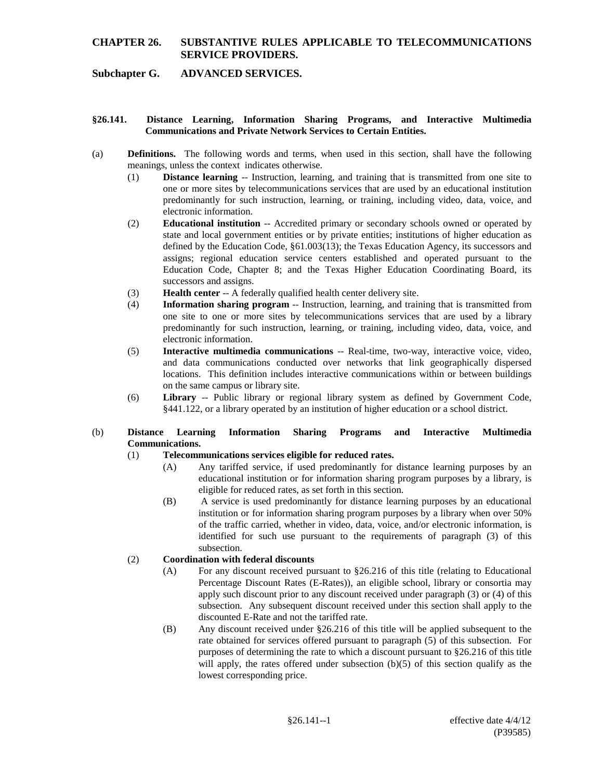# **CHAPTER 26. SUBSTANTIVE RULES APPLICABLE TO TELECOMMUNICATIONS SERVICE PROVIDERS.**

### **Subchapter G. ADVANCED SERVICES.**

### **§26.141. Distance Learning, Information Sharing Programs, and Interactive Multimedia Communications and Private Network Services to Certain Entities.**

- (a) **Definitions.** The following words and terms, when used in this section, shall have the following meanings, unless the context indicates otherwise.
	- (1) **Distance learning** -- Instruction, learning, and training that is transmitted from one site to one or more sites by telecommunications services that are used by an educational institution predominantly for such instruction, learning, or training, including video, data, voice, and electronic information.
	- (2) **Educational institution** -- Accredited primary or secondary schools owned or operated by state and local government entities or by private entities; institutions of higher education as defined by the Education Code, §61.003(13); the Texas Education Agency, its successors and assigns; regional education service centers established and operated pursuant to the Education Code, Chapter 8; and the Texas Higher Education Coordinating Board, its successors and assigns.
	- (3) **Health center** -- A federally qualified health center delivery site.
	- (4) **Information sharing program** -- Instruction, learning, and training that is transmitted from one site to one or more sites by telecommunications services that are used by a library predominantly for such instruction, learning, or training, including video, data, voice, and electronic information.
	- (5) **Interactive multimedia communications** -- Real-time, two-way, interactive voice, video, and data communications conducted over networks that link geographically dispersed locations. This definition includes interactive communications within or between buildings on the same campus or library site.
	- (6) **Library** -- Public library or regional library system as defined by Government Code, §441.122, or a library operated by an institution of higher education or a school district.

## (b) **Distance Learning Information Sharing Programs and Interactive Multimedia Communications.**

## (1) **Telecommunications services eligible for reduced rates.**

- (A) Any tariffed service, if used predominantly for distance learning purposes by an educational institution or for information sharing program purposes by a library, is eligible for reduced rates, as set forth in this section.
- (B) A service is used predominantly for distance learning purposes by an educational institution or for information sharing program purposes by a library when over 50% of the traffic carried, whether in video, data, voice, and/or electronic information, is identified for such use pursuant to the requirements of paragraph (3) of this subsection.

#### (2) **Coordination with federal discounts**

- (A) For any discount received pursuant to §26.216 of this title (relating to Educational Percentage Discount Rates (E-Rates)), an eligible school, library or consortia may apply such discount prior to any discount received under paragraph (3) or (4) of this subsection. Any subsequent discount received under this section shall apply to the discounted E-Rate and not the tariffed rate.
- (B) Any discount received under §26.216 of this title will be applied subsequent to the rate obtained for services offered pursuant to paragraph (5) of this subsection. For purposes of determining the rate to which a discount pursuant to §26.216 of this title will apply, the rates offered under subsection (b)(5) of this section qualify as the lowest corresponding price.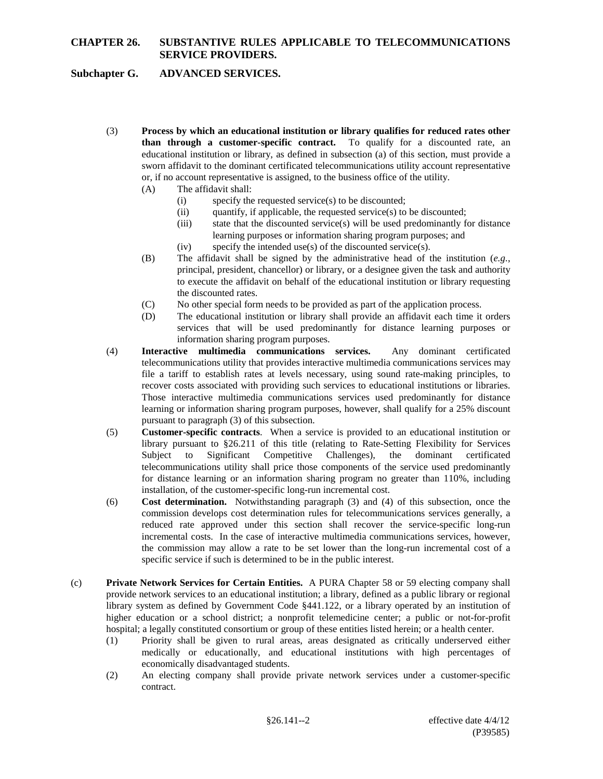# **CHAPTER 26. SUBSTANTIVE RULES APPLICABLE TO TELECOMMUNICATIONS SERVICE PROVIDERS.**

### **Subchapter G. ADVANCED SERVICES.**

- (3) **Process by which an educational institution or library qualifies for reduced rates other than through a customer-specific contract.** To qualify for a discounted rate, an educational institution or library, as defined in subsection (a) of this section, must provide a sworn affidavit to the dominant certificated telecommunications utility account representative or, if no account representative is assigned, to the business office of the utility.
	- (A) The affidavit shall:
		- (i) specify the requested service(s) to be discounted;
		- (ii) quantify, if applicable, the requested service(s) to be discounted;
		- (iii) state that the discounted service(s) will be used predominantly for distance learning purposes or information sharing program purposes; and
		- $(iv)$  specify the intended use(s) of the discounted service(s).
	- (B) The affidavit shall be signed by the administrative head of the institution (*e.g.*, principal, president, chancellor) or library, or a designee given the task and authority to execute the affidavit on behalf of the educational institution or library requesting the discounted rates.
	- (C) No other special form needs to be provided as part of the application process.
	- (D) The educational institution or library shall provide an affidavit each time it orders services that will be used predominantly for distance learning purposes or information sharing program purposes.
- (4) **Interactive multimedia communications services.** Any dominant certificated telecommunications utility that provides interactive multimedia communications services may file a tariff to establish rates at levels necessary, using sound rate-making principles, to recover costs associated with providing such services to educational institutions or libraries. Those interactive multimedia communications services used predominantly for distance learning or information sharing program purposes, however, shall qualify for a 25% discount pursuant to paragraph (3) of this subsection.
- (5) **Customer-specific contracts**. When a service is provided to an educational institution or library pursuant to §26.211 of this title (relating to Rate-Setting Flexibility for Services Subject to Significant Competitive Challenges), the dominant certificated telecommunications utility shall price those components of the service used predominantly for distance learning or an information sharing program no greater than 110%, including installation, of the customer-specific long-run incremental cost.
- (6) **Cost determination.** Notwithstanding paragraph (3) and (4) of this subsection, once the commission develops cost determination rules for telecommunications services generally, a reduced rate approved under this section shall recover the service-specific long-run incremental costs. In the case of interactive multimedia communications services, however, the commission may allow a rate to be set lower than the long-run incremental cost of a specific service if such is determined to be in the public interest.
- (c) **Private Network Services for Certain Entities.** A PURA Chapter 58 or 59 electing company shall provide network services to an educational institution; a library, defined as a public library or regional library system as defined by Government Code §441.122, or a library operated by an institution of higher education or a school district; a nonprofit telemedicine center; a public or not-for-profit hospital; a legally constituted consortium or group of these entities listed herein; or a health center.
	- (1) Priority shall be given to rural areas, areas designated as critically underserved either medically or educationally, and educational institutions with high percentages of economically disadvantaged students.
	- (2) An electing company shall provide private network services under a customer-specific contract.